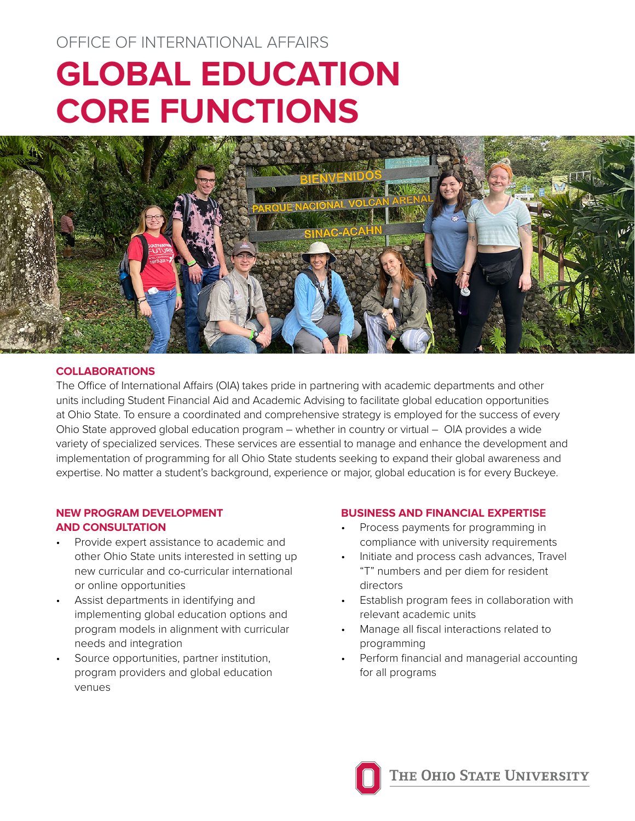# OFFICE OF INTERNATIONAL AFFAIRS **GLOBAL EDUCATION CORE FUNCTIONS**



### **COLLABORATIONS**

The Office of International Affairs (OIA) takes pride in partnering with academic departments and other units including Student Financial Aid and Academic Advising to facilitate global education opportunities at Ohio State. To ensure a coordinated and comprehensive strategy is employed for the success of every Ohio State approved global education program – whether in country or virtual – OIA provides a wide variety of specialized services. These services are essential to manage and enhance the development and implementation of programming for all Ohio State students seeking to expand their global awareness and expertise. No matter a student's background, experience or major, global education is for every Buckeye.

## **NEW PROGRAM DEVELOPMENT AND CONSULTATION**

- Provide expert assistance to academic and other Ohio State units interested in setting up new curricular and co-curricular international or online opportunities
- Assist departments in identifying and implementing global education options and program models in alignment with curricular needs and integration
- Source opportunities, partner institution, program providers and global education venues

#### **BUSINESS AND FINANCIAL EXPERTISE**

- Process payments for programming in compliance with university requirements
- Initiate and process cash advances, Travel "T" numbers and per diem for resident directors
- Establish program fees in collaboration with relevant academic units
- Manage all fiscal interactions related to programming
- Perform financial and managerial accounting for all programs

THE OHIO STATE UNIVERSITY